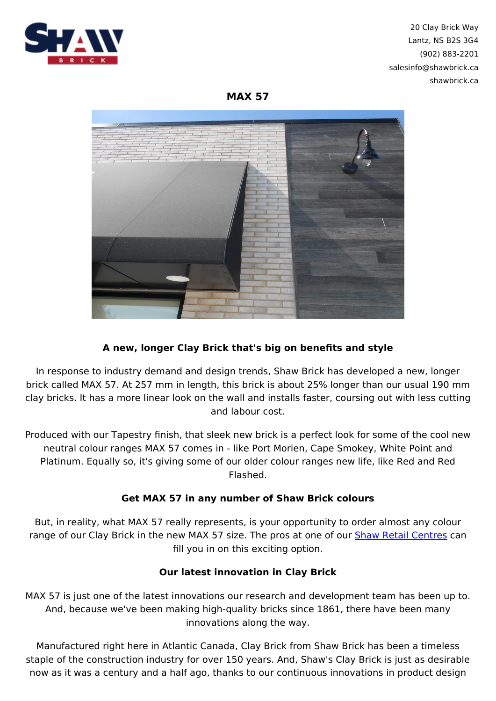

20 Clay Brick Way Lantz, NS B2S 3G4 (902) 883-2201 salesinfo@shawbrick.ca shawbrick.ca

**MAX 57**



## **A new, longer Clay Brick that's big on benefits and style**

In response to industry demand and design trends, Shaw Brick has developed a new, longer brick called MAX 57. At 257 mm in length, this brick is about 25% longer than our usual 190 mm clay bricks. It has a more linear look on the wall and installs faster, coursing out with less cutting and labour cost.

Produced with our Tapestry finish, that sleek new brick is a perfect look for some of the cool new neutral colour ranges MAX 57 comes in - like Port Morien, Cape Smokey, White Point and Platinum. Equally so, it's giving some of our older colour ranges new life, like Red and Red Flashed.

## **Get MAX 57 in any number of Shaw Brick colours**

But, in reality, what MAX 57 really represents, is your opportunity to order almost any colour range of our Clay Brick in the new MAX 57 size. The pros at one of our **Shaw Retail Centres** can fill you in on this exciting option.

## **Our latest innovation in Clay Brick**

MAX 57 is just one of the latest innovations our research and development team has been up to. And, because we've been making high-quality bricks since 1861, there have been many innovations along the way.

Manufactured right here in Atlantic Canada, Clay Brick from Shaw Brick has been a timeless staple of the construction industry for over 150 years. And, Shaw's Clay Brick is just as desirable now as it was a century and a half ago, thanks to our continuous innovations in product design